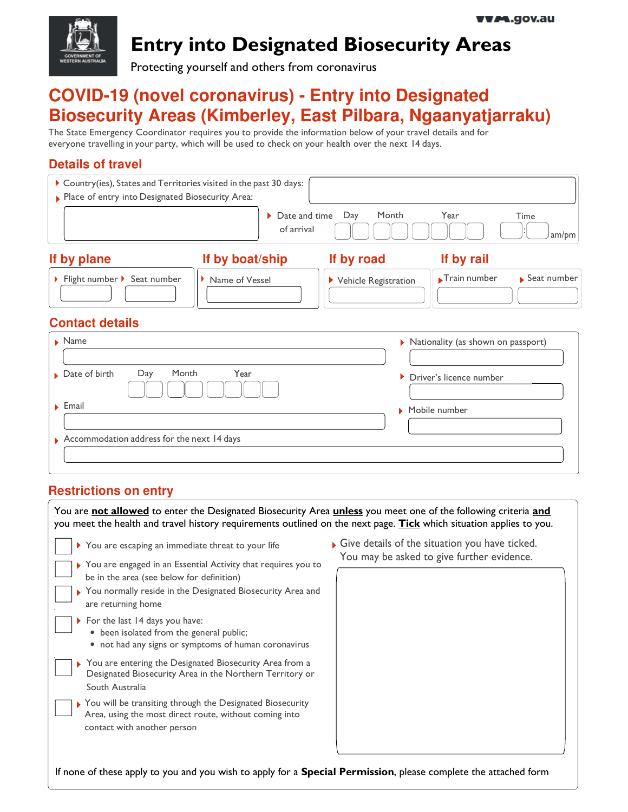

# **Entry into Designated Biosecurity Areas**

Protecting yourself and others from coronavirus

## **COVID-19 (novel coronavirus) - Entry into Designated Biosecurity Areas (Kimberley, East Pilbara, Ngaanyatjarraku)**

The State Emergency Coordinator requires you to provide the information below of your travel details and for everyone travelling in your party, which will be used to check on your health over the next 14 days.

## **Details of travel**

| Country(ies), States and Territories visited in the past 30 days: |                                              |                        |                                    |               |  |
|-------------------------------------------------------------------|----------------------------------------------|------------------------|------------------------------------|---------------|--|
| Place of entry into Designated Biosecurity Area:                  |                                              |                        |                                    |               |  |
|                                                                   | $\triangleright$ Date and time<br>of arrival | Month<br>Day           | Year                               | Time<br>am/pm |  |
| If by plane                                                       | If by boat/ship                              | If by road             | If by rail                         |               |  |
| Flight number > Seat number                                       | Name of Vessel                               | ▶ Vehicle Registration | Train number                       | Seat number   |  |
| <b>Contact details</b>                                            |                                              |                        |                                    |               |  |
| $\blacktriangleright$ Name                                        |                                              |                        | Nationality (as shown on passport) |               |  |
|                                                                   |                                              |                        |                                    |               |  |
| Month<br>Year<br>$\triangleright$ Date of birth<br>Day            |                                              | Þ.                     | Driver's licence number            |               |  |
| $\blacktriangleright$ Email                                       |                                              | Ы                      | Mobile number                      |               |  |
| $\triangleright$ Accommodation address for the next 14 days       |                                              |                        |                                    |               |  |

## **Restrictions on entry**

South Australia

 $\mathsf{I}$ 

L

You are **not allowed** to enter the Designated Biosecurity Area **unless** you meet one of the following criteria **and** you meet the health and travel history requirements outlined on the next page. **Tick** which situation applies to you.

| You are escaping an immediate threat to your life                                                                                                                                                  |
|----------------------------------------------------------------------------------------------------------------------------------------------------------------------------------------------------|
| > You are engaged in an Essential Activity that requires you to<br>be in the area (see below for definition)<br>▶ You normally reside in the Designated Biosecurity Area and<br>are returning home |
| For the last 14 days you have:<br>• been isolated from the general public;<br>• not had any signs or symptoms of human coronavirus                                                                 |
| > You are entering the Designated Biosecurity Area from a<br>Designated Biosecurity Area in the Northern Territory or                                                                              |

You will be transiting through the Designated Biosecurity Area, using the most direct route, without coming into contact with another person

Give details of the situation you have ticked. You may be asked to give further evidence.

If none of these apply to you and you wish to apply for a **Special Permission**, please complete the attached form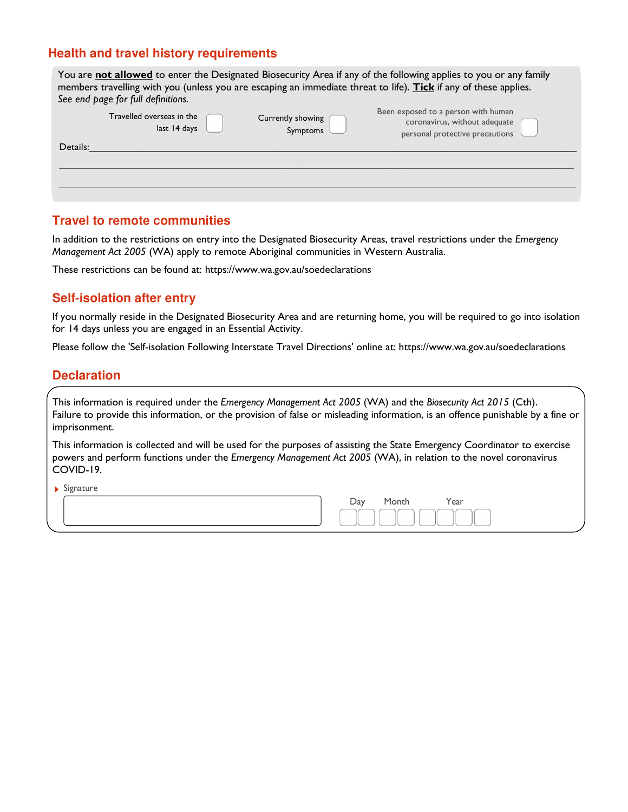## **Health and travel history requirements**

|          | See end page for full definitions.        |                               | You are not allowed to enter the Designated Biosecurity Area if any of the following applies to you or any family<br>members travelling with you (unless you are escaping an immediate threat to life). Tick if any of these applies. |
|----------|-------------------------------------------|-------------------------------|---------------------------------------------------------------------------------------------------------------------------------------------------------------------------------------------------------------------------------------|
|          | Travelled overseas in the<br>last 14 days | Currently showing<br>Symptoms | Been exposed to a person with human<br>coronavirus, without adequate<br>personal protective precautions                                                                                                                               |
| Details: |                                           |                               |                                                                                                                                                                                                                                       |

### **Travel to remote communities**

In addition to the restrictions on entry into the Designated Biosecurity Areas, travel restrictions under the *Emergency Management Act 2005* (WA) apply to remote Aboriginal communities in Western Australia.

These restrictions can be found at: https://www.wa.gov.au/soedeclarations

### **Self-isolation after entry**

If you normally reside in the Designated Biosecurity Area and are returning home, you will be required to go into isolation for 14 days unless you are engaged in an Essential Activity.

Please follow the 'Self-isolation Following Interstate Travel Directions' online at: https://www.wa.gov.au/soedeclarations

### **Declaration**

This information is required under the *Emergency Management Act 2005* (WA) and the *Biosecurity Act 2015* (Cth). Failure to provide this information, or the provision of false or misleading information, is an offence punishable by a fine or imprisonment.

This information is collected and will be used for the purposes of assisting the State Emergency Coordinator to exercise powers and perform functions under the *Emergency Management Act 2005* (WA), in relation to the novel coronavirus COVID-19.

 $\blacktriangleright$  Signature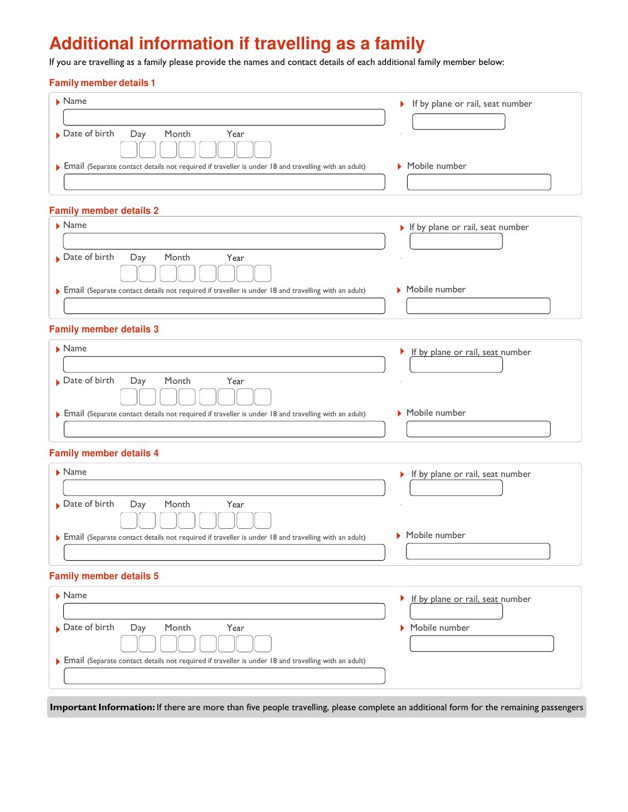# **Additional information if travelling as a family**

If you are travelling as a family please provide the names and contact details of each additional family member below:

#### **Family member details 1**

| $\blacktriangleright$ Name                                                                            | If by plane or rail, seat number |
|-------------------------------------------------------------------------------------------------------|----------------------------------|
|                                                                                                       |                                  |
| $\triangleright$ Date of birth<br>Day<br>Month<br>Year                                                |                                  |
|                                                                                                       |                                  |
| • Email (Separate contact details not required if traveller is under 18 and travelling with an adult) | Mobile number                    |
|                                                                                                       |                                  |

#### **Family member details 2**

| $\blacktriangleright$ Name                                                                          | $\triangleright$ If by plane or rail, seat number |
|-----------------------------------------------------------------------------------------------------|---------------------------------------------------|
| $\triangleright$ Date of birth<br>Day<br>Month<br>Year                                              |                                                   |
|                                                                                                     |                                                   |
| Email (Separate contact details not required if traveller is under 18 and travelling with an adult) | Mobile number                                     |
|                                                                                                     |                                                   |

#### **Family member details 3**

| $\blacktriangleright$ Name                                                                          | If by plane or rail, seat number |
|-----------------------------------------------------------------------------------------------------|----------------------------------|
| $\triangleright$ Date of birth<br>Day<br>Month<br>Year                                              |                                  |
| Email (Separate contact details not required if traveller is under 18 and travelling with an adult) | Mobile number                    |

#### **Family member details 4**

| $\blacktriangleright$ Name                                                                          | $\triangleright$ If by plane or rail, seat number |
|-----------------------------------------------------------------------------------------------------|---------------------------------------------------|
| $\triangleright$ Date of birth<br>Day<br>Month<br>Year                                              | $\sim$                                            |
| Email (Separate contact details not required if traveller is under 18 and travelling with an adult) | Mobile number                                     |

#### **Family member details 5**

| $\triangleright$ Name                                                                               | If by plane or rail, seat number<br>Þ. |
|-----------------------------------------------------------------------------------------------------|----------------------------------------|
|                                                                                                     |                                        |
| $\triangleright$ Date of birth<br>Day<br>Month<br>Year                                              | Mobile number                          |
|                                                                                                     |                                        |
| Email (Separate contact details not required if traveller is under 18 and travelling with an adult) |                                        |
|                                                                                                     |                                        |

**Important Information:** If there are more than five people travelling, please complete an additional form for the remaining passengers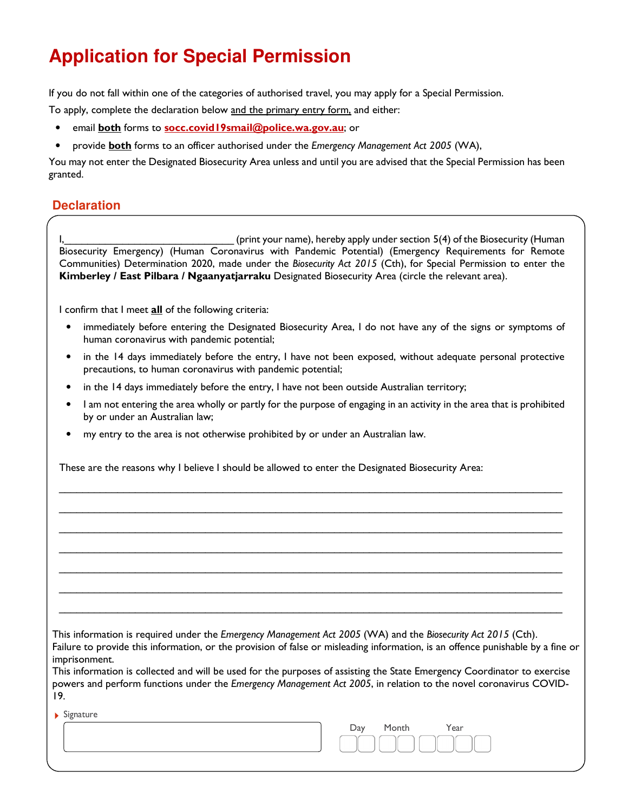# **Application for Special Permission**

If you do not fall within one of the categories of authorised travel, you may apply for a Special Permission.

To apply, complete the declaration below and the primary entry form, and either:

- email **both** forms to **socc.covid19smail@police.wa.gov.au**; or
- provide **both** forms to an officer authorised under the *Emergency Management Act 2005* (WA),

You may not enter the Designated Biosecurity Area unless and until you are advised that the Special Permission has been granted.

### **Declaration**

I, (print your name), hereby apply under section 5(4) of the Biosecurity (Human Biosecurity Emergency) (Human Coronavirus with Pandemic Potential) (Emergency Requirements for Remote Communities) Determination 2020, made under the *Biosecurity Act 2015* (Cth), for Special Permission to enter the **Kimberley / East Pilbara / Ngaanyatjarraku** Designated Biosecurity Area (circle the relevant area).

I confirm that I meet **all** of the following criteria:

- immediately before entering the Designated Biosecurity Area, I do not have any of the signs or symptoms of human coronavirus with pandemic potential;
- in the 14 days immediately before the entry, I have not been exposed, without adequate personal protective precautions, to human coronavirus with pandemic potential;
- in the 14 days immediately before the entry, I have not been outside Australian territory;
- I am not entering the area wholly or partly for the purpose of engaging in an activity in the area that is prohibited by or under an Australian law;

\_\_\_\_\_\_\_\_\_\_\_\_\_\_\_\_\_\_\_\_\_\_\_\_\_\_\_\_\_\_\_\_\_\_\_\_\_\_\_\_\_\_\_\_\_\_\_\_\_\_\_\_\_\_\_\_\_\_\_\_\_\_\_\_\_\_\_\_\_\_\_\_\_\_\_\_\_\_\_\_\_\_\_\_\_\_ \_\_\_\_\_\_\_\_\_\_\_\_\_\_\_\_\_\_\_\_\_\_\_\_\_\_\_\_\_\_\_\_\_\_\_\_\_\_\_\_\_\_\_\_\_\_\_\_\_\_\_\_\_\_\_\_\_\_\_\_\_\_\_\_\_\_\_\_\_\_\_\_\_\_\_\_\_\_\_\_\_\_\_\_\_\_ \_\_\_\_\_\_\_\_\_\_\_\_\_\_\_\_\_\_\_\_\_\_\_\_\_\_\_\_\_\_\_\_\_\_\_\_\_\_\_\_\_\_\_\_\_\_\_\_\_\_\_\_\_\_\_\_\_\_\_\_\_\_\_\_\_\_\_\_\_\_\_\_\_\_\_\_\_\_\_\_\_\_\_\_\_\_ \_\_\_\_\_\_\_\_\_\_\_\_\_\_\_\_\_\_\_\_\_\_\_\_\_\_\_\_\_\_\_\_\_\_\_\_\_\_\_\_\_\_\_\_\_\_\_\_\_\_\_\_\_\_\_\_\_\_\_\_\_\_\_\_\_\_\_\_\_\_\_\_\_\_\_\_\_\_\_\_\_\_\_\_\_\_ \_\_\_\_\_\_\_\_\_\_\_\_\_\_\_\_\_\_\_\_\_\_\_\_\_\_\_\_\_\_\_\_\_\_\_\_\_\_\_\_\_\_\_\_\_\_\_\_\_\_\_\_\_\_\_\_\_\_\_\_\_\_\_\_\_\_\_\_\_\_\_\_\_\_\_\_\_\_\_\_\_\_\_\_\_\_ \_\_\_\_\_\_\_\_\_\_\_\_\_\_\_\_\_\_\_\_\_\_\_\_\_\_\_\_\_\_\_\_\_\_\_\_\_\_\_\_\_\_\_\_\_\_\_\_\_\_\_\_\_\_\_\_\_\_\_\_\_\_\_\_\_\_\_\_\_\_\_\_\_\_\_\_\_\_\_\_\_\_\_\_\_\_ \_\_\_\_\_\_\_\_\_\_\_\_\_\_\_\_\_\_\_\_\_\_\_\_\_\_\_\_\_\_\_\_\_\_\_\_\_\_\_\_\_\_\_\_\_\_\_\_\_\_\_\_\_\_\_\_\_\_\_\_\_\_\_\_\_\_\_\_\_\_\_\_\_\_\_\_\_\_\_\_\_\_\_\_\_\_

my entry to the area is not otherwise prohibited by or under an Australian law.

These are the reasons why I believe I should be allowed to enter the Designated Biosecurity Area:

This information is required under the *Emergency Management Act 2005* (WA) and the *Biosecurity Act 2015* (Cth).

Failure to provide this information, or the provision of false or misleading information, is an offence punishable by a fine or imprisonment.

This information is collected and will be used for the purposes of assisting the State Emergency Coordinator to exercise powers and perform functions under the *Emergency Management Act 2005*, in relation to the novel coronavirus COVID-19.

|  | Signature |
|--|-----------|
|--|-----------|

| $\triangleright$ signature |     |       |      |
|----------------------------|-----|-------|------|
|                            | Day | Month | Year |
|                            |     |       |      |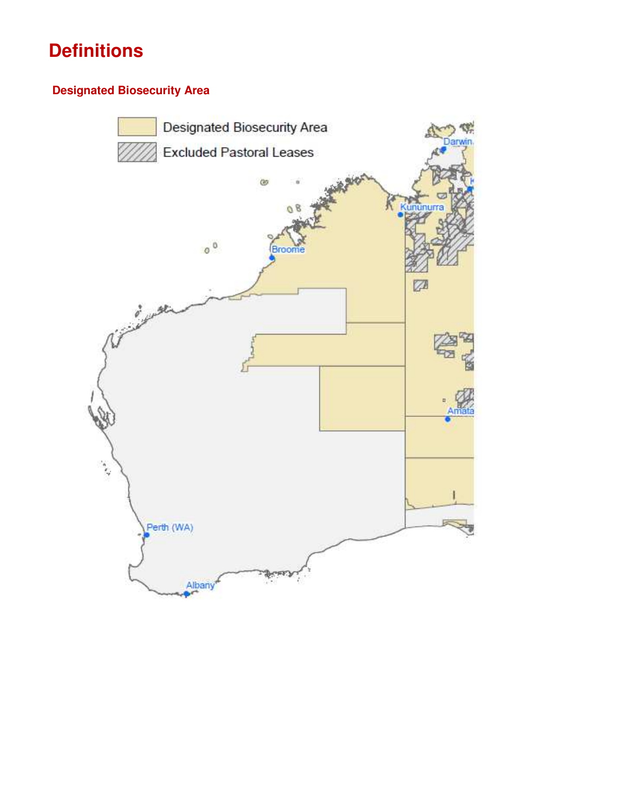# **Definitions**

## **Designated Biosecurity Area**